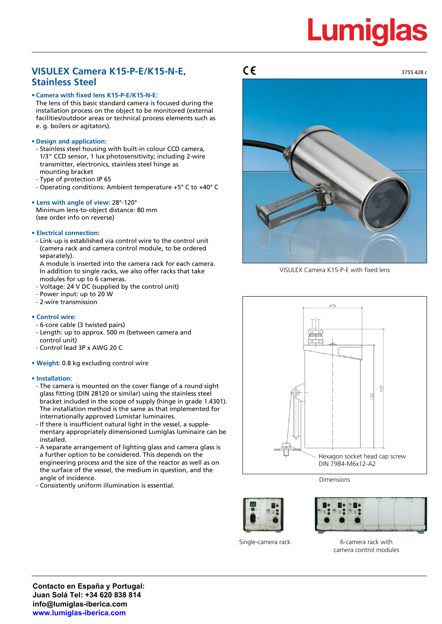# **Lumiglas**

### **VISULEX Camera K15-P-E/K15-N-E, Stainless Steel**

#### **• Camera with fixed lens K15-P-E/K15-N-E:**

The lens of this basic standard camera is focused during the installation process on the object to be monitored (external facilities/outdoor areas or technical process elements such as e. g. boilers or agitators).

#### **• Design and application:**

- Stainless steel housing with built-in colour CCD camera, 1/3" CCD sensor, 1 lux photosensitivity; including 2-wire transmitter, electronics, stainless steel hinge as mounting bracket
- Type of protection IP 65
- Operating conditions: Ambient temperature +5° C to +40° C

#### **• Lens with angle of view:** 28°-120°

Minimum lens-to-object distance: 80 mm (see order info on reverse)

#### **• Electrical connection:**

- Link-up is established via control wire to the control unit (camera rack and camera control module, to be ordered separately).

A module is inserted into the camera rack for each camera. In addition to single racks, we also offer racks that take modules for up to 6 cameras.

- Voltage: 24 V DC (supplied by the control unit)
- Power input: up to 20 W
- 2-wire transmission

#### **• Control wire:**

- 6-core cable (3 twisted pairs)
- Length: up to approx. 500 m (between camera and
- control unit)
- Control lead 3P x AWG 20 C
- **Weight:** 0.8 kg excluding control wire

#### **• Installation:**

- The camera is mounted on the cover flange of a round sight glass fitting (DIN 28120 or similar) using the stainless steel bracket included in the scope of supply (hinge in grade 1.4301). The installation method is the same as that implemented for internationally approved Lumistar luminaires.
- If there is insufficient natural light in the vessel, a supple mentary appropriately dimensioned Lumiglas luminaire can be installed.
- A separate arrangement of lighting glass and camera glass is a further option to be considered. This depends on the engineering process and the size of the reactor as well as on the surface of the vessel, the medium in question, and the angle of incidence.
- Consistently uniform illumination is essential.

 $\epsilon$ 



VISULEX Camera K15-P-E with fixed lens



Dimensions





Single-camera rack 6-camera rack with camera control modules